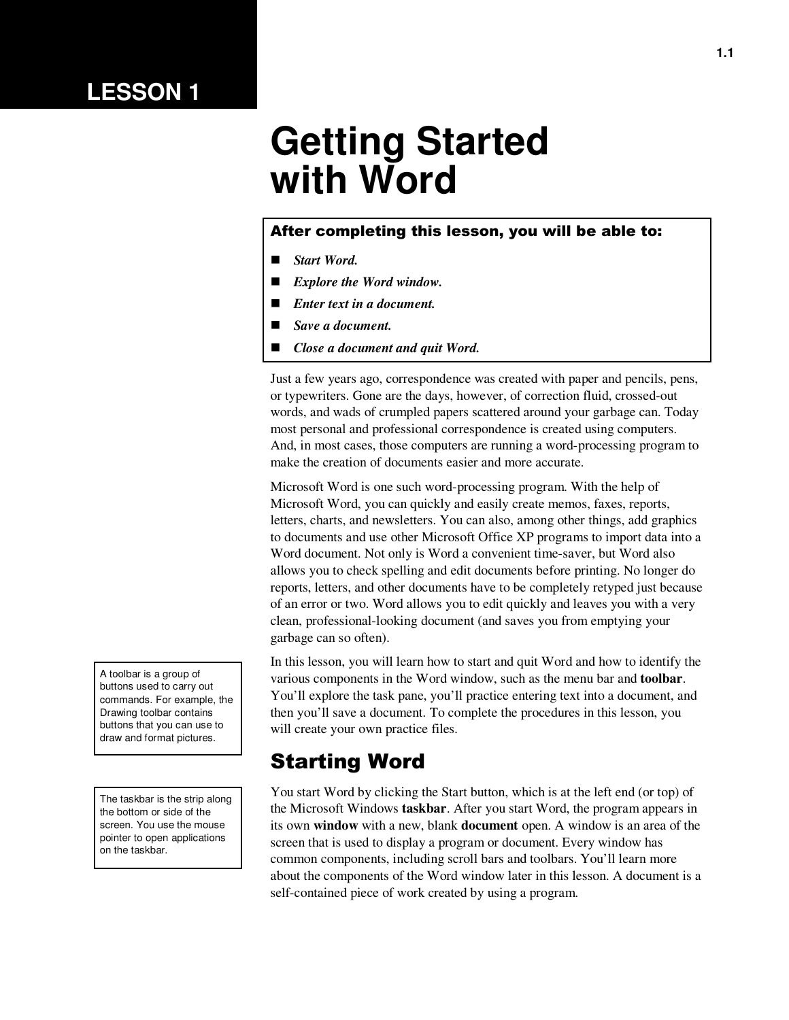#### **LESSON 1**

# **Getting Started with Word**

#### After completing this lesson, you will be able to:

- *Start Word.*
- *Explore the Word window.*
- *Enter text in a document.*
- *Save a document.*
- *Close a document and quit Word.*

Just a few years ago, correspondence was created with paper and pencils, pens, or typewriters. Gone are the days, however, of correction fluid, crossed-out words, and wads of crumpled papers scattered around your garbage can. Today most personal and professional correspondence is created using computers. And, in most cases, those computers are running a word-processing program to make the creation of documents easier and more accurate.

Microsoft Word is one such word-processing program. With the help of Microsoft Word, you can quickly and easily create memos, faxes, reports, letters, charts, and newsletters. You can also, among other things, add graphics to documents and use other Microsoft Office XP programs to import data into a Word document. Not only is Word a convenient time-saver, but Word also allows you to check spelling and edit documents before printing. No longer do reports, letters, and other documents have to be completely retyped just because of an error or two. Word allows you to edit quickly and leaves you with a very clean, professional-looking document (and saves you from emptying your garbage can so often).

In this lesson, you will learn how to start and quit Word and how to identify the various components in the Word window, such as the menu bar and **toolbar**. You'll explore the task pane, you'll practice entering text into a document, and then you'll save a document. To complete the procedures in this lesson, you will create your own practice files.

#### Starting Word

You start Word by clicking the Start button, which is at the left end (or top) of the Microsoft Windows **taskbar**. After you start Word, the program appears in its own **window** with a new, blank **document** open. A window is an area of the screen that is used to display a program or document. Every window has common components, including scroll bars and toolbars. You'll learn more about the components of the Word window later in this lesson. A document is a self-contained piece of work created by using a program.

A toolbar is a group of buttons used to carry out commands. For example, the Drawing toolbar contains buttons that you can use to draw and format pictures.

The taskbar is the strip along the bottom or side of the screen. You use the mouse pointer to open applications on the taskbar.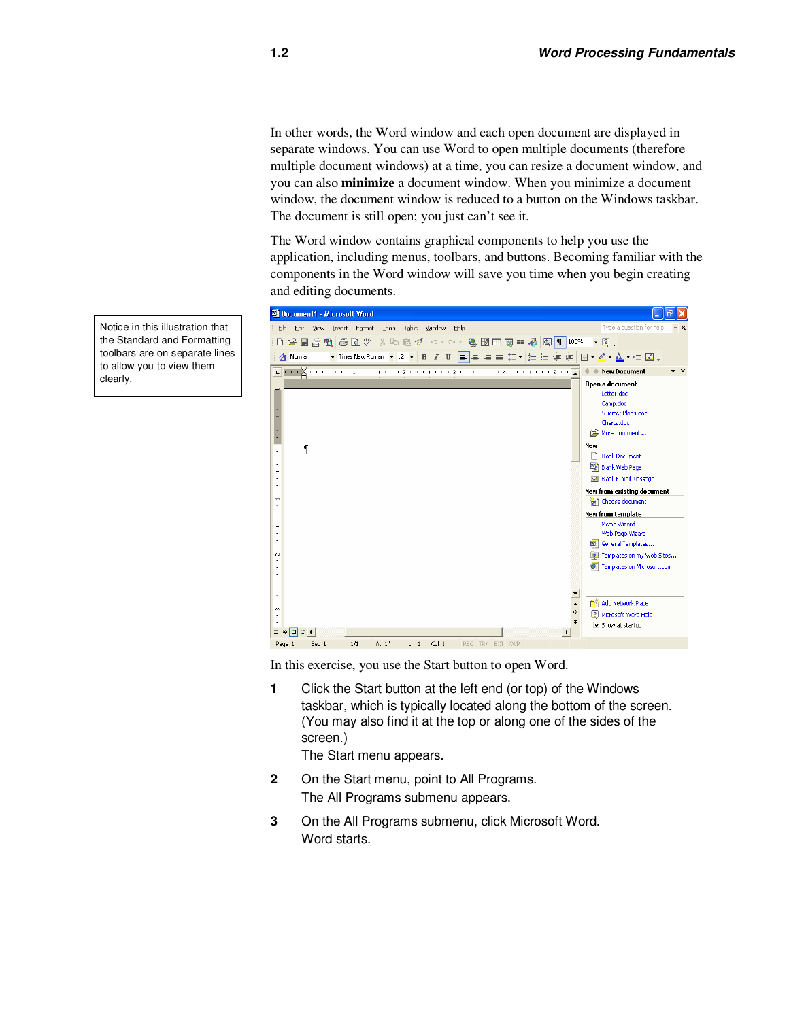In other words, the Word window and each open document are displayed in separate windows. You can use Word to open multiple documents (therefore multiple document windows) at a time, you can resize a document window, and you can also **minimize** a document window. When you minimize a document window, the document window is reduced to a button on the Windows taskbar. The document is still open; you just can't see it.

The Word window contains graphical components to help you use the application, including menus, toolbars, and buttons. Becoming familiar with the components in the Word window will save you time when you begin creating and editing documents.



In this exercise, you use the Start button to open Word.

**1** Click the Start button at the left end (or top) of the Windows taskbar, which is typically located along the bottom of the screen. (You may also find it at the top or along one of the sides of the screen.)

The Start menu appears.

- **2** On the Start menu, point to All Programs. The All Programs submenu appears.
- **3** On the All Programs submenu, click Microsoft Word. Word starts.

Notice in this illustration that the Standard and Formatting toolbars are on separate lines to allow you to view them clearly.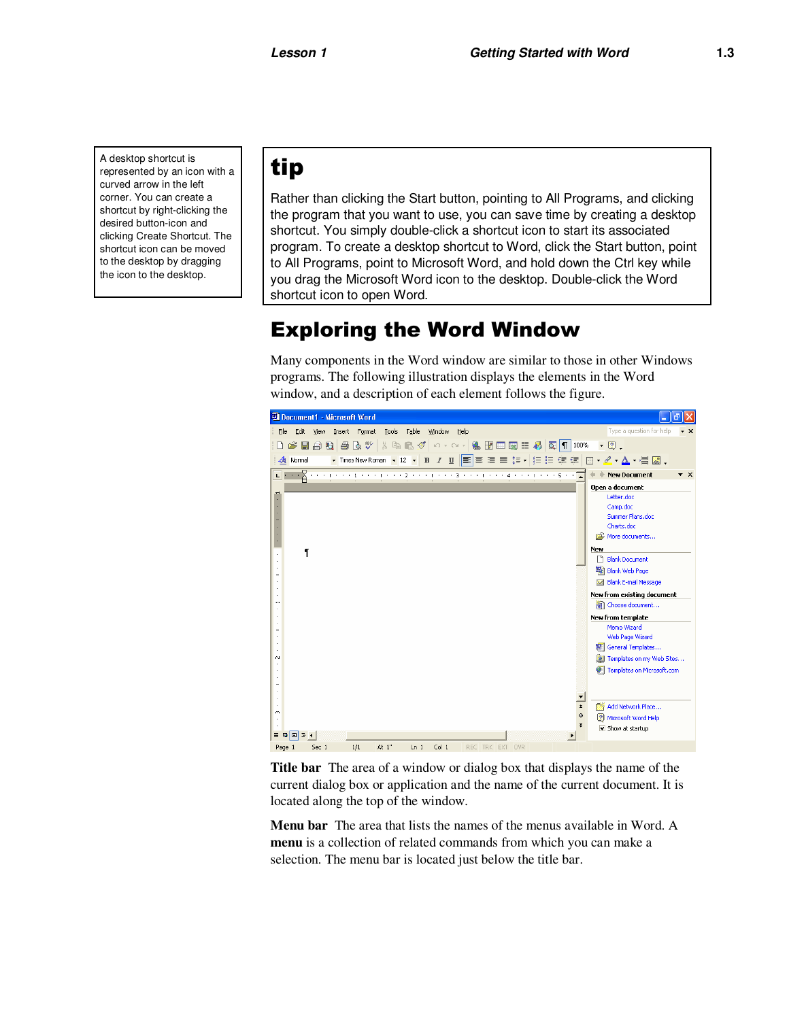A desktop shortcut is represented by an icon with a curved arrow in the left corner. You can create a shortcut by right-clicking the desired button-icon and clicking Create Shortcut. The shortcut icon can be moved to the desktop by dragging the icon to the desktop.

#### tip

Rather than clicking the Start button, pointing to All Programs, and clicking the program that you want to use, you can save time by creating a desktop shortcut. You simply double-click a shortcut icon to start its associated program. To create a desktop shortcut to Word, click the Start button, point to All Programs, point to Microsoft Word, and hold down the Ctrl key while you drag the Microsoft Word icon to the desktop. Double-click the Word shortcut icon to open Word.

#### Exploring the Word Window

Many components in the Word window are similar to those in other Windows programs. The following illustration displays the elements in the Word window, and a description of each element follows the figure.



**Title bar** The area of a window or dialog box that displays the name of the current dialog box or application and the name of the current document. It is located along the top of the window.

**Menu bar** The area that lists the names of the menus available in Word. A **menu** is a collection of related commands from which you can make a selection. The menu bar is located just below the title bar.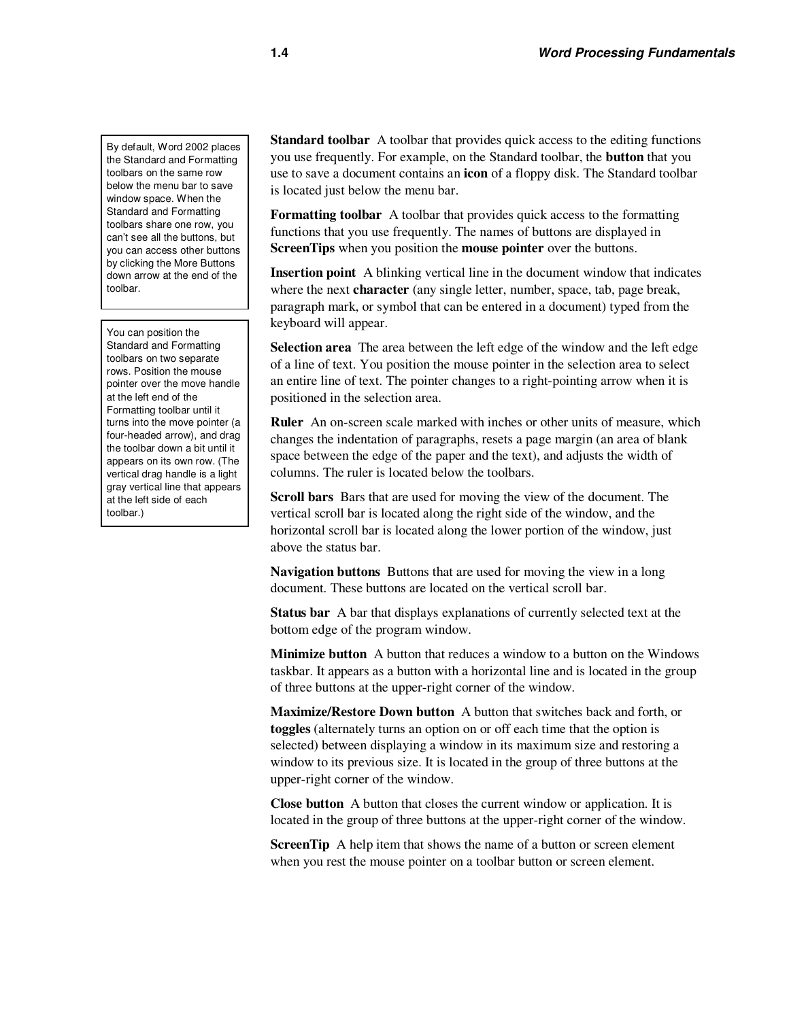By default, Word 2002 places the Standard and Formatting toolbars on the same row below the menu bar to save window space. When the Standard and Formatting toolbars share one row, you can't see all the buttons, but you can access other buttons by clicking the More Buttons down arrow at the end of the toolbar.

You can position the Standard and Formatting toolbars on two separate rows. Position the mouse pointer over the move handle at the left end of the Formatting toolbar until it turns into the move pointer (a four-headed arrow), and drag the toolbar down a bit until it appears on its own row. (The vertical drag handle is a light gray vertical line that appears at the left side of each toolbar.)

**Standard toolbar** A toolbar that provides quick access to the editing functions you use frequently. For example, on the Standard toolbar, the **button** that you use to save a document contains an **icon** of a floppy disk. The Standard toolbar is located just below the menu bar.

**Formatting toolbar** A toolbar that provides quick access to the formatting functions that you use frequently. The names of buttons are displayed in **ScreenTips** when you position the **mouse pointer** over the buttons.

**Insertion point** A blinking vertical line in the document window that indicates where the next **character** (any single letter, number, space, tab, page break, paragraph mark, or symbol that can be entered in a document) typed from the keyboard will appear.

**Selection area** The area between the left edge of the window and the left edge of a line of text. You position the mouse pointer in the selection area to select an entire line of text. The pointer changes to a right-pointing arrow when it is positioned in the selection area.

**Ruler** An on-screen scale marked with inches or other units of measure, which changes the indentation of paragraphs, resets a page margin (an area of blank space between the edge of the paper and the text), and adjusts the width of columns. The ruler is located below the toolbars.

**Scroll bars** Bars that are used for moving the view of the document. The vertical scroll bar is located along the right side of the window, and the horizontal scroll bar is located along the lower portion of the window, just above the status bar.

**Navigation buttons** Buttons that are used for moving the view in a long document. These buttons are located on the vertical scroll bar.

**Status bar** A bar that displays explanations of currently selected text at the bottom edge of the program window.

**Minimize button** A button that reduces a window to a button on the Windows taskbar. It appears as a button with a horizontal line and is located in the group of three buttons at the upper-right corner of the window.

**Maximize/Restore Down button** A button that switches back and forth, or **toggles** (alternately turns an option on or off each time that the option is selected) between displaying a window in its maximum size and restoring a window to its previous size. It is located in the group of three buttons at the upper-right corner of the window.

**Close button** A button that closes the current window or application. It is located in the group of three buttons at the upper-right corner of the window.

**ScreenTip** A help item that shows the name of a button or screen element when you rest the mouse pointer on a toolbar button or screen element.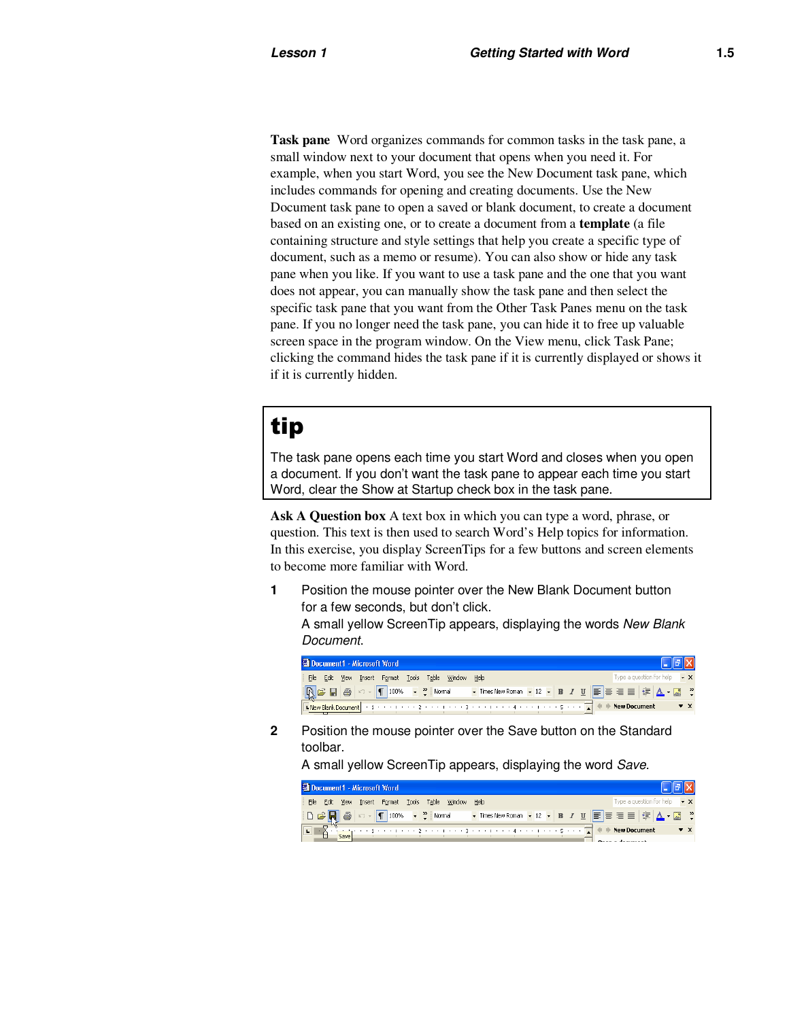**Task pane** Word organizes commands for common tasks in the task pane, a small window next to your document that opens when you need it. For example, when you start Word, you see the New Document task pane, which includes commands for opening and creating documents. Use the New Document task pane to open a saved or blank document, to create a document based on an existing one, or to create a document from a **template** (a file containing structure and style settings that help you create a specific type of document, such as a memo or resume). You can also show or hide any task pane when you like. If you want to use a task pane and the one that you want does not appear, you can manually show the task pane and then select the specific task pane that you want from the Other Task Panes menu on the task pane. If you no longer need the task pane, you can hide it to free up valuable screen space in the program window. On the View menu, click Task Pane; clicking the command hides the task pane if it is currently displayed or shows it if it is currently hidden.

## tip

The task pane opens each time you start Word and closes when you open a document. If you don't want the task pane to appear each time you start Word, clear the Show at Startup check box in the task pane.

**Ask A Question box** A text box in which you can type a word, phrase, or question. This text is then used to search Word's Help topics for information. In this exercise, you display ScreenTips for a few buttons and screen elements to become more familiar with Word.

**1** Position the mouse pointer over the New Blank Document button for a few seconds, but don't click.

A small yellow ScreenTip appears, displaying the words New Blank Document.

| Document1 - Microsoft Word                           |                                                   |
|------------------------------------------------------|---------------------------------------------------|
| File Edit View Insert Format Tools Table Window Help | Type a question for help $\rightarrow \mathbf{x}$ |
|                                                      |                                                   |
|                                                      |                                                   |

**2** Position the mouse pointer over the Save button on the Standard toolbar.

A small yellow ScreenTip appears, displaying the word Save.

| <b>ED</b> Document1 - Microsoft Word                                                                                      |                                             |
|---------------------------------------------------------------------------------------------------------------------------|---------------------------------------------|
| Edit View Insert Format Tools Table Window Help<br><b>File</b>                                                            | Type a question for help $\bullet$ <b>x</b> |
| │D <mark>G Q</mark> 2 × T 100% ▼ <sup>»</sup> , Normal → Trmes New Roman ▼ 12 × B <i>I</i> U E ≡ ≣ F <mark>A · Q »</mark> |                                             |
| $\cdots 1 \cdots 1 \cdots 2 \cdots 1 \cdots 3 \cdots 1 \cdots 4 \cdots 1 \cdots 5 \cdots 1 \cdots 5 \cdots 1$             |                                             |
|                                                                                                                           |                                             |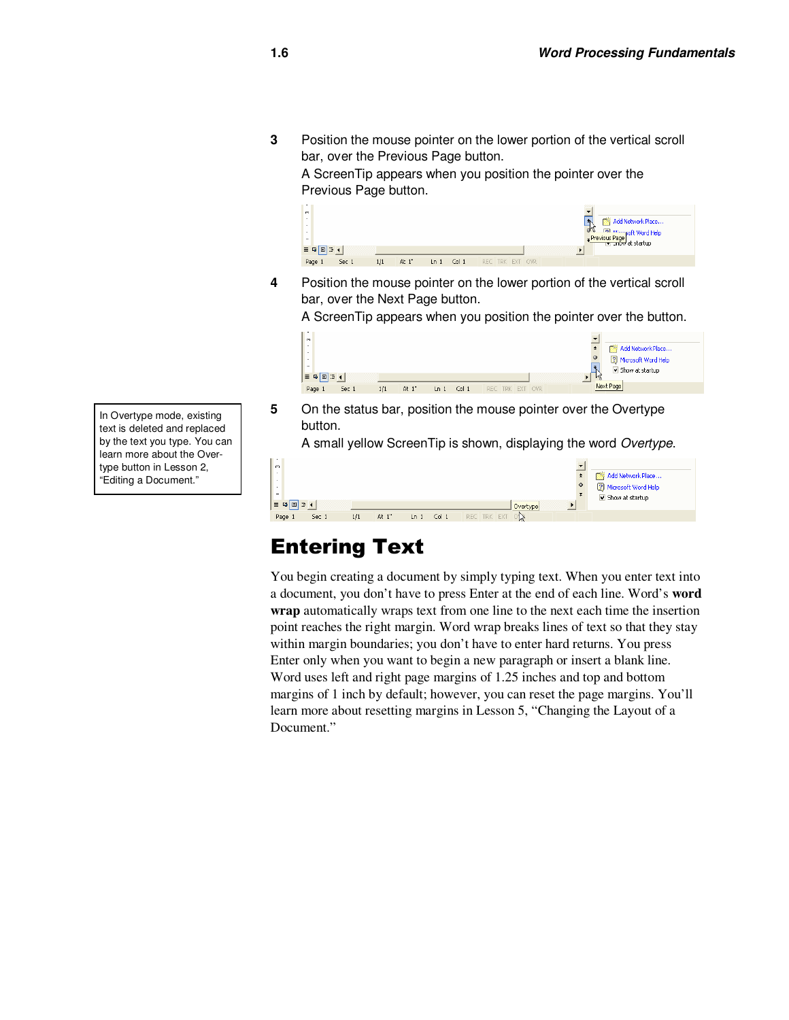**3** Position the mouse pointer on the lower portion of the vertical scroll bar, over the Previous Page button.

A ScreenTip appears when you position the pointer over the Previous Page button.

| ٠<br>$\sim$<br>٠<br>$\ddot{\phantom{0}}$<br>$\mathbf{r}$<br>٠<br><b>EGB34</b> |       |     |       |      |       |                 |  |  |  | Add Network Place<br>o <sup>ld</sup> Fall winn soft Word Help<br>Figures Page |  |
|-------------------------------------------------------------------------------|-------|-----|-------|------|-------|-----------------|--|--|--|-------------------------------------------------------------------------------|--|
| Page 1                                                                        | Sec 1 | 1/1 | At 1" | Ln 1 | Col 1 | REC TRK EXT OVR |  |  |  |                                                                               |  |

**4** Position the mouse pointer on the lower portion of the vertical scroll bar, over the Next Page button.

A ScreenTip appears when you position the pointer over the button.

| <b>m</b> | ■ 岡 国 国 4 |       |     |       |        |                  |                 | Add Network Place<br>$\circ$<br><sup>2</sup> Microsoft Word Help<br>Show at startup |
|----------|-----------|-------|-----|-------|--------|------------------|-----------------|-------------------------------------------------------------------------------------|
|          | Page 1    | Sec 1 | 1/1 | At 1" | $Ln_1$ | Col <sub>1</sub> | REC TRK EXT OVR | M<br>Next Page                                                                      |

**5** On the status bar, position the mouse pointer over the Overtype button.

A small yellow ScreenTip is shown, displaying the word Overtype.

| <b>COL</b><br>$\equiv$ 6 $\equiv$ 4 |       |     |         |      |                 |                | Overtype | o | Add Network Place<br><sup>2</sup> Microsoft Word Help<br>$\overrightarrow{v}$ Show at startup |
|-------------------------------------|-------|-----|---------|------|-----------------|----------------|----------|---|-----------------------------------------------------------------------------------------------|
| Page 1                              | Sec 1 | 1/1 | At $1"$ | Ln 1 | Co <sub>1</sub> | REC TRK EXT ON |          |   |                                                                                               |
|                                     |       |     |         |      |                 |                |          |   |                                                                                               |

## Entering Text

You begin creating a document by simply typing text. When you enter text into a document, you don't have to press Enter at the end of each line. Word's **word wrap** automatically wraps text from one line to the next each time the insertion point reaches the right margin. Word wrap breaks lines of text so that they stay within margin boundaries; you don't have to enter hard returns. You press Enter only when you want to begin a new paragraph or insert a blank line. Word uses left and right page margins of 1.25 inches and top and bottom margins of 1 inch by default; however, you can reset the page margins. You'll learn more about resetting margins in Lesson 5, "Changing the Layout of a Document."

In Overtype mode, existing text is deleted and replaced by the text you type. You can learn more about the Overtype button in Lesson 2, "Editing a Document."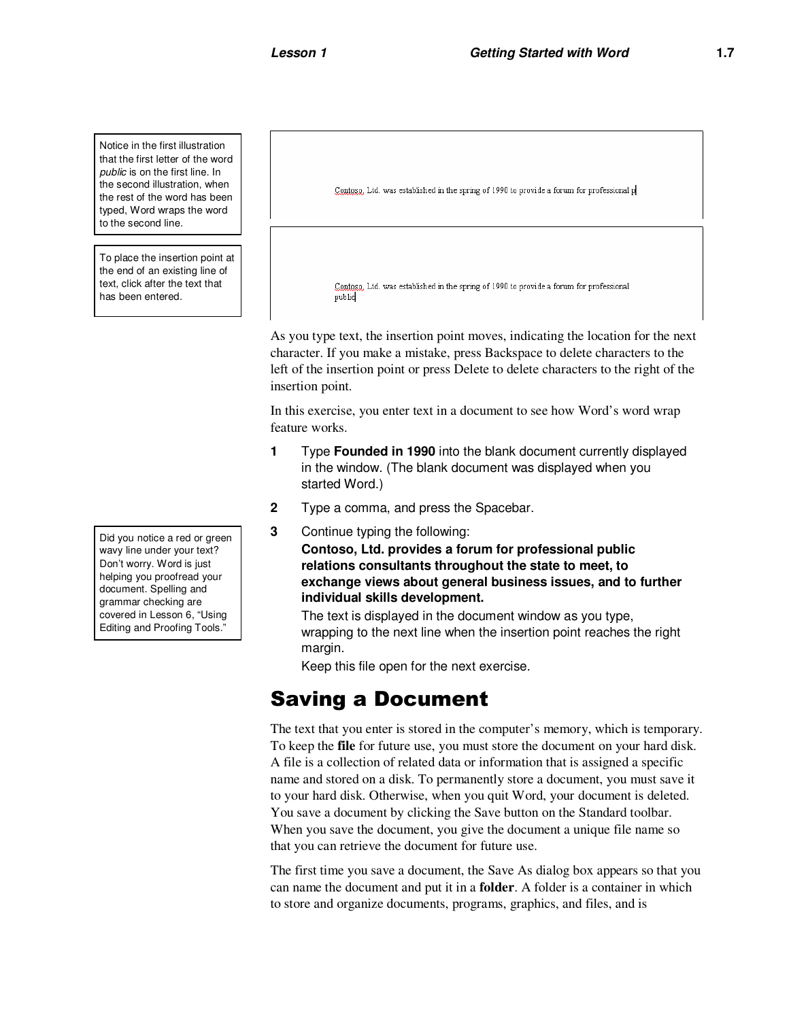Notice in the first illustration that the first letter of the word public is on the first line. In the second illustration, when the rest of the word has been typed, Word wraps the word to the second line.

To place the insertion point at the end of an existing line of text, click after the text that has been entered.

Did you notice a red or green wavy line under your text? Don't worry. Word is just helping you proofread your document. Spelling and grammar checking are covered in Lesson 6, "Using Editing and Proofing Tools."

Contoso, Ltd. was established in the spring of 1990 to provide a forum for professional p

Contoso, Ltd. was established in the spring of 1990 to provide a forum for professional public

As you type text, the insertion point moves, indicating the location for the next character. If you make a mistake, press Backspace to delete characters to the left of the insertion point or press Delete to delete characters to the right of the insertion point.

In this exercise, you enter text in a document to see how Word's word wrap feature works.

- **1** Type **Founded in 1990** into the blank document currently displayed in the window. (The blank document was displayed when you started Word.)
- **2** Type a comma, and press the Spacebar.
- **3** Continue typing the following:
	- **Contoso, Ltd. provides a forum for professional public relations consultants throughout the state to meet, to exchange views about general business issues, and to further individual skills development.**

The text is displayed in the document window as you type, wrapping to the next line when the insertion point reaches the right margin.

Keep this file open for the next exercise.

#### Saving a Document

The text that you enter is stored in the computer's memory, which is temporary. To keep the **file** for future use, you must store the document on your hard disk. A file is a collection of related data or information that is assigned a specific name and stored on a disk. To permanently store a document, you must save it to your hard disk. Otherwise, when you quit Word, your document is deleted. You save a document by clicking the Save button on the Standard toolbar. When you save the document, you give the document a unique file name so that you can retrieve the document for future use.

The first time you save a document, the Save As dialog box appears so that you can name the document and put it in a **folder**. A folder is a container in which to store and organize documents, programs, graphics, and files, and is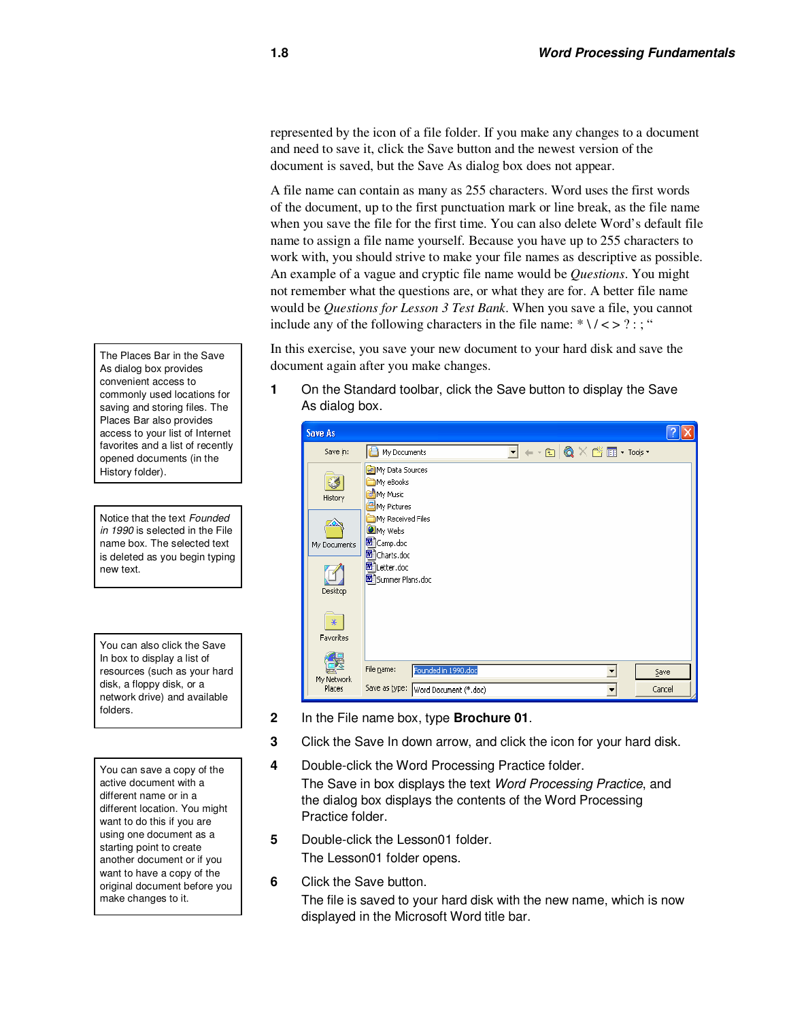represented by the icon of a file folder. If you make any changes to a document and need to save it, click the Save button and the newest version of the document is saved, but the Save As dialog box does not appear.

A file name can contain as many as 255 characters. Word uses the first words of the document, up to the first punctuation mark or line break, as the file name when you save the file for the first time. You can also delete Word's default file name to assign a file name yourself. Because you have up to 255 characters to work with, you should strive to make your file names as descriptive as possible. An example of a vague and cryptic file name would be *Questions*. You might not remember what the questions are, or what they are for. A better file name would be *Questions for Lesson 3 Test Bank*. When you save a file, you cannot include any of the following characters in the file name:  $*\ \< > ?$ :; "

In this exercise, you save your new document to your hard disk and save the document again after you make changes.

**1** On the Standard toolbar, click the Save button to display the Save As dialog box.

| Save As                                                   |                                                                                                                                                                              |        |
|-----------------------------------------------------------|------------------------------------------------------------------------------------------------------------------------------------------------------------------------------|--------|
| Save in:                                                  | $ \mathbf{E} \otimes \mathbf{X}$ is $\mathbf{E}$ or $\mathbf{S}$<br>My Documents                                                                                             |        |
| g<br>History<br>My Documents<br>Desktop<br>⋇<br>Favorites | <b>Hall</b> My Data Sources<br>My eBooks<br>My Music<br>My Pictures<br>My Received Files<br><b>O</b> My Webs<br>图 Camp.doc<br>Charts.doc<br>图 Letter.doc<br>Summer Plans.doc |        |
| My Network                                                | File name:<br>Founded in 1990, doc<br>▼                                                                                                                                      | Save   |
| Places                                                    | Save as type: Word Document (*.doc)                                                                                                                                          | Cancel |

- **2** In the File name box, type **Brochure 01**.
- **3** Click the Save In down arrow, and click the icon for your hard disk.
- **4** Double-click the Word Processing Practice folder. The Save in box displays the text Word Processing Practice, and the dialog box displays the contents of the Word Processing Practice folder.
- **5** Double-click the Lesson01 folder. The Lesson01 folder opens.

**6** Click the Save button.

The file is saved to your hard disk with the new name, which is now displayed in the Microsoft Word title bar.

The Places Bar in the Save As dialog box provides convenient access to commonly used locations for saving and storing files. The Places Bar also provides access to your list of Internet favorites and a list of recently opened documents (in the History folder).

Notice that the text Founded in 1990 is selected in the File name box. The selected text is deleted as you begin typing new text.

You can also click the Save In box to display a list of resources (such as your hard disk, a floppy disk, or a network drive) and available folders.

You can save a copy of the active document with a different name or in a different location. You might want to do this if you are using one document as a starting point to create another document or if you want to have a copy of the original document before you make changes to it.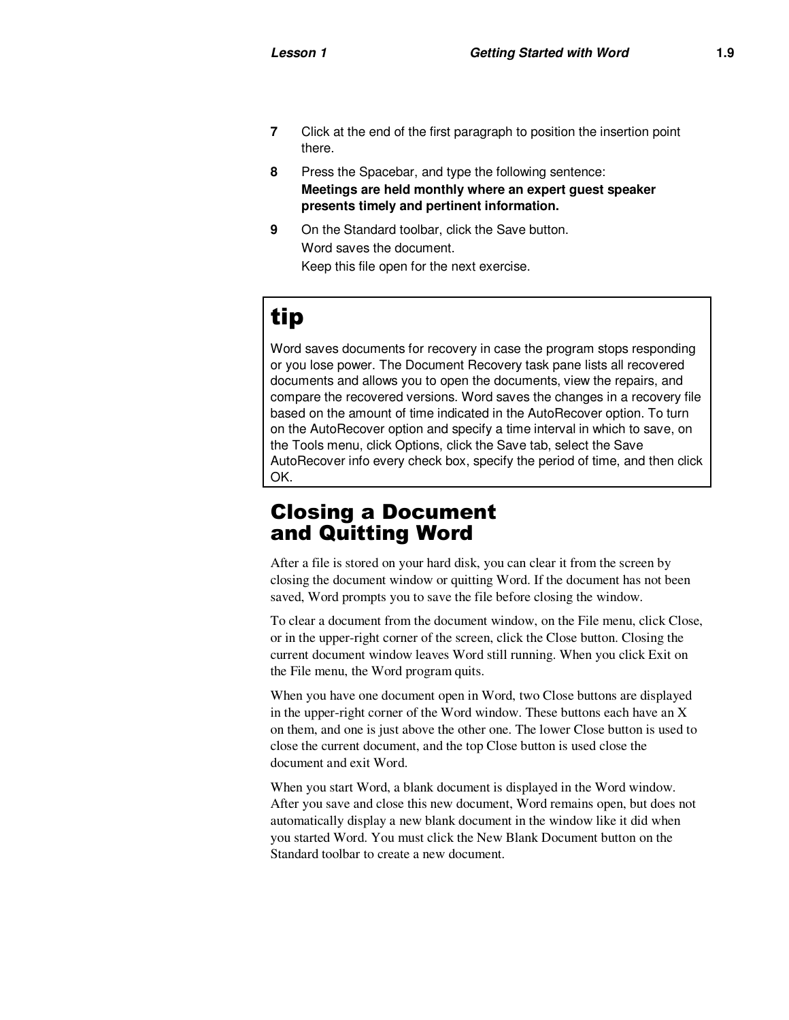- **7** Click at the end of the first paragraph to position the insertion point there.
- **8** Press the Spacebar, and type the following sentence: **Meetings are held monthly where an expert guest speaker presents timely and pertinent information.**
- **9** On the Standard toolbar, click the Save button. Word saves the document. Keep this file open for the next exercise.

## tip

Word saves documents for recovery in case the program stops responding or you lose power. The Document Recovery task pane lists all recovered documents and allows you to open the documents, view the repairs, and compare the recovered versions. Word saves the changes in a recovery file based on the amount of time indicated in the AutoRecover option. To turn on the AutoRecover option and specify a time interval in which to save, on the Tools menu, click Options, click the Save tab, select the Save AutoRecover info every check box, specify the period of time, and then click OK.

#### Closing a Document and Quitting Word

After a file is stored on your hard disk, you can clear it from the screen by closing the document window or quitting Word. If the document has not been saved, Word prompts you to save the file before closing the window.

To clear a document from the document window, on the File menu, click Close, or in the upper-right corner of the screen, click the Close button. Closing the current document window leaves Word still running. When you click Exit on the File menu, the Word program quits.

When you have one document open in Word, two Close buttons are displayed in the upper-right corner of the Word window. These buttons each have an X on them, and one is just above the other one. The lower Close button is used to close the current document, and the top Close button is used close the document and exit Word.

When you start Word, a blank document is displayed in the Word window. After you save and close this new document, Word remains open, but does not automatically display a new blank document in the window like it did when you started Word. You must click the New Blank Document button on the Standard toolbar to create a new document.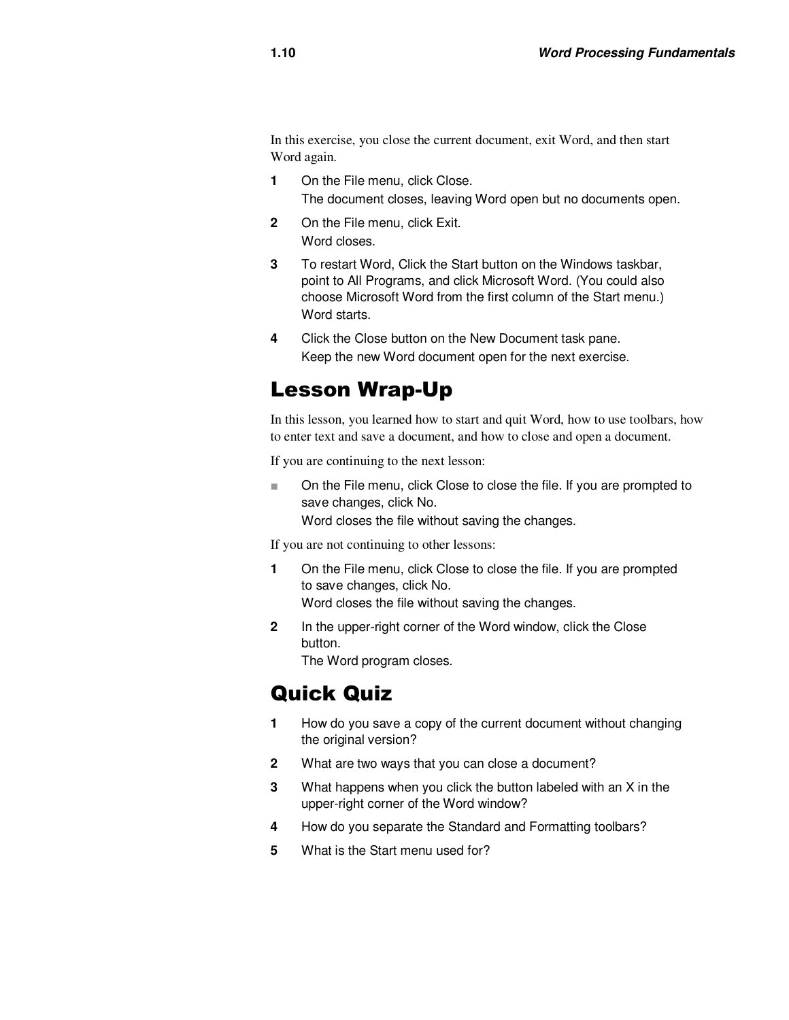In this exercise, you close the current document, exit Word, and then start Word again.

- **1** On the File menu, click Close. The document closes, leaving Word open but no documents open.
- **2** On the File menu, click Exit. Word closes.
- **3** To restart Word, Click the Start button on the Windows taskbar, point to All Programs, and click Microsoft Word. (You could also choose Microsoft Word from the first column of the Start menu.) Word starts.
- **4** Click the Close button on the New Document task pane. Keep the new Word document open for the next exercise.

#### Lesson Wrap-Up

In this lesson, you learned how to start and quit Word, how to use toolbars, how to enter text and save a document, and how to close and open a document.

If you are continuing to the next lesson:

■ On the File menu, click Close to close the file. If you are prompted to save changes, click No.

Word closes the file without saving the changes.

If you are not continuing to other lessons:

- **1** On the File menu, click Close to close the file. If you are prompted to save changes, click No. Word closes the file without saving the changes.
- **2** In the upper-right corner of the Word window, click the Close button.

The Word program closes.

#### Quick Quiz

- **1** How do you save a copy of the current document without changing the original version?
- **2** What are two ways that you can close a document?
- **3** What happens when you click the button labeled with an X in the upper-right corner of the Word window?
- **4** How do you separate the Standard and Formatting toolbars?
- **5** What is the Start menu used for?